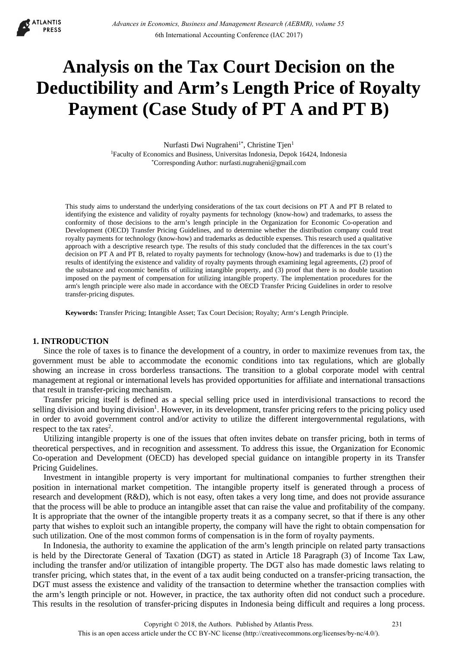**ATLANTIS PRESS** 

# **Analysis on the Tax Court Decision on the Deductibility and Arm's Length Price of Royalty Payment (Case Study of PT A and PT B)**

Nurfasti Dwi Nugraheni<sup>1\*</sup>, Christine Tjen<sup>1</sup> 1Faculty of Economics and Business, Universitas Indonesia, Depok 16424, Indonesia \*Corresponding Author: nurfasti.nugraheni@gmail.com

This study aims to understand the underlying considerations of the tax court decisions on PT A and PT B related to identifying the existence and validity of royalty payments for technology (know-how) and trademarks, to assess the conformity of those decisions to the arm's length principle in the Organization for Economic Co-operation and Development (OECD) Transfer Pricing Guidelines, and to determine whether the distribution company could treat royalty payments for technology (know-how) and trademarks as deductible expenses. This research used a qualitative approach with a descriptive research type. The results of this study concluded that the differences in the tax court's decision on PT A and PT B, related to royalty payments for technology (know-how) and trademarks is due to (1) the results of identifying the existence and validity of royalty payments through examining legal agreements, (2) proof of the substance and economic benefits of utilizing intangible property, and (3) proof that there is no double taxation imposed on the payment of compensation for utilizing intangible property. The implementation procedures for the arm's length principle were also made in accordance with the OECD Transfer Pricing Guidelines in order to resolve transfer-pricing disputes.

**Keywords:** Transfer Pricing; Intangible Asset; Tax Court Decision; Royalty; Arm's Length Principle.

#### **1. INTRODUCTION**

Since the role of taxes is to finance the development of a country, in order to maximize revenues from tax, the government must be able to accommodate the economic conditions into tax regulations, which are globally showing an increase in cross borderless transactions. The transition to a global corporate model with central management at regional or international levels has provided opportunities for affiliate and international transactions that result in transfer-pricing mechanism.

Transfer pricing itself is defined as a special selling price used in interdivisional transactions to record the selling division and buying division<sup>1</sup>. However, in its development, transfer pricing refers to the pricing policy used in order to avoid government control and/or activity to utilize the different intergovernmental regulations, with respect to the tax rates<sup>2</sup>.

Utilizing intangible property is one of the issues that often invites debate on transfer pricing, both in terms of theoretical perspectives, and in recognition and assessment. To address this issue, the Organization for Economic Co-operation and Development (OECD) has developed special guidance on intangible property in its Transfer Pricing Guidelines.

Investment in intangible property is very important for multinational companies to further strengthen their position in international market competition. The intangible property itself is generated through a process of research and development (R&D), which is not easy, often takes a very long time, and does not provide assurance that the process will be able to produce an intangible asset that can raise the value and profitability of the company. It is appropriate that the owner of the intangible property treats it as a company secret, so that if there is any other party that wishes to exploit such an intangible property, the company will have the right to obtain compensation for such utilization. One of the most common forms of compensation is in the form of royalty payments.

In Indonesia, the authority to examine the application of the arm's length principle on related party transactions is held by the Directorate General of Taxation (DGT) as stated in Article 18 Paragraph (3) of Income Tax Law, including the transfer and/or utilization of intangible property. The DGT also has made domestic laws relating to transfer pricing, which states that, in the event of a tax audit being conducted on a transfer-pricing transaction, the DGT must assess the existence and validity of the transaction to determine whether the transaction complies with the arm's length principle or not. However, in practice, the tax authority often did not conduct such a procedure. This results in the resolution of transfer-pricing disputes in Indonesia being difficult and requires a long process.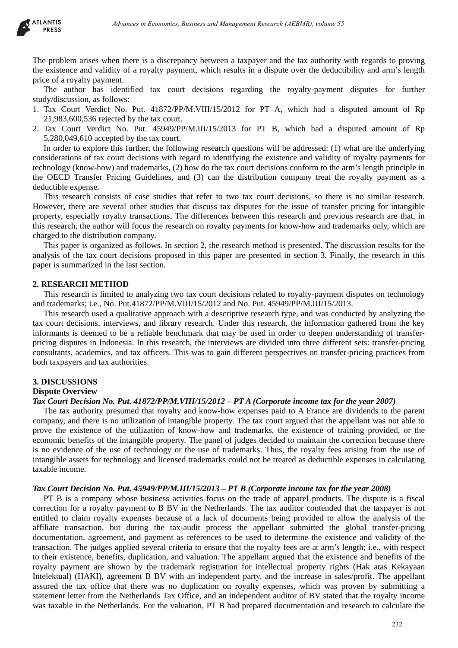

The problem arises when there is a discrepancy between a taxpayer and the tax authority with regards to proving the existence and validity of a royalty payment, which results in a dispute over the deductibility and arm's length price of a royalty payment.

The author has identified tax court decisions regarding the royalty-payment disputes for further study/discussion, as follows:

- 1. Tax Court Verdict No. Put. 41872/PP/M.VIII/15/2012 for PT A, which had a disputed amount of Rp 21,983,600,536 rejected by the tax court.
- 2. Tax Court Verdict No. Put. 45949/PP/M.III/15/2013 for PT B, which had a disputed amount of Rp 5,280,049,610 accepted by the tax court.

In order to explore this further, the following research questions will be addressed: (1) what are the underlying considerations of tax court decisions with regard to identifying the existence and validity of royalty payments for technology (know-how) and trademarks, (2) how do the tax court decisions conform to the arm's length principle in the OECD Transfer Pricing Guidelines, and (3) can the distribution company treat the royalty payment as a deductible expense.

This research consists of case studies that refer to two tax court decisions, so there is no similar research. However, there are several other studies that discuss tax disputes for the issue of transfer pricing for intangible property, especially royalty transactions. The differences between this research and previous research are that, in this research, the author will focus the research on royalty payments for know-how and trademarks only, which are charged to the distribution company.

This paper is organized as follows. In section 2, the research method is presented. The discussion results for the analysis of the tax court decisions proposed in this paper are presented in section 3. Finally, the research in this paper is summarized in the last section.

## **2. RESEARCH METHOD**

This research is limited to analyzing two tax court decisions related to royalty-payment disputes on technology and trademarks; i.e., No. Put.41872/PP/M.VIII/15/2012 and No. Put. 45949/PP/M.III/15/2013.

This research used a qualitative approach with a descriptive research type, and was conducted by analyzing the tax court decisions, interviews, and library research. Under this research, the information gathered from the key informants is deemed to be a reliable benchmark that may be used in order to deepen understanding of transferpricing disputes in Indonesia. In this research, the interviews are divided into three different sets: transfer-pricing consultants, academics, and tax officers. This was to gain different perspectives on transfer-pricing practices from both taxpayers and tax authorities.

#### **3. DISCUSSIONS Dispute Overview**

#### *Tax Court Decision No. Put. 41872/PP/M.VIII/15/2012 – PT A (Corporate income tax for the year 2007)*

The tax authority presumed that royalty and know-how expenses paid to A France are dividends to the parent company, and there is no utilization of intangible property. The tax court argued that the appellant was not able to prove the existence of the utilization of know-how and trademarks, the existence of training provided, or the economic benefits of the intangible property. The panel of judges decided to maintain the correction because there is no evidence of the use of technology or the use of trademarks. Thus, the royalty fees arising from the use of intangible assets for technology and licensed trademarks could not be treated as deductible expenses in calculating taxable income.

#### *Tax Court Decision No. Put. 45949/PP/M.III/15/2013 – PT B (Corporate income tax for the year 2008)*

PT B is a company whose business activities focus on the trade of apparel products. The dispute is a fiscal correction for a royalty payment to B BV in the Netherlands. The tax auditor contended that the taxpayer is not entitled to claim royalty expenses because of a lack of documents being provided to allow the analysis of the affiliate transaction, but during the tax-audit process the appellant submitted the global transfer-pricing documentation, agreement, and payment as references to be used to determine the existence and validity of the transaction. The judges applied several criteria to ensure that the royalty fees are at arm's length; i.e., with respect to their existence, benefits, duplication, and valuation. The appellant argued that the existence and benefits of the royalty payment are shown by the trademark registration for intellectual property rights (Hak atas Kekayaan Intelektual) (HAKI), agreement B BV with an independent party, and the increase in sales/profit. The appellant assured the tax office that there was no duplication on royalty expenses, which was proven by submitting a statement letter from the Netherlands Tax Office, and an independent auditor of BV stated that the royalty income was taxable in the Netherlands. For the valuation, PT B had prepared documentation and research to calculate the donsero in Everements, Business and Management Research (AEBMR), volume 53<br>
Any of a reycharge particular which results in a dispute over the deductibility and are<br>
and the area of a reycharge particular which results in a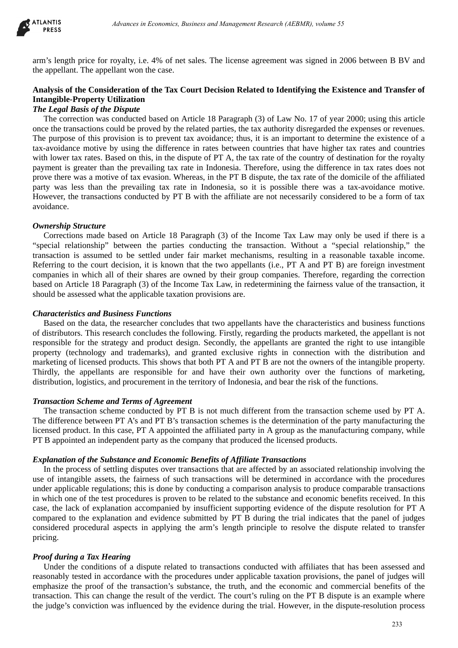

arm's length price for royalty, i.e. 4% of net sales. The license agreement was signed in 2006 between B BV and the appellant. The appellant won the case.

# **Analysis of the Consideration of the Tax Court Decision Related to Identifying the Existence and Transfer of Intangible-Property Utilization**

# *The Legal Basis of the Dispute*

The correction was conducted based on Article 18 Paragraph (3) of Law No. 17 of year 2000; using this article once the transactions could be proved by the related parties, the tax authority disregarded the expenses or revenues. The purpose of this provision is to prevent tax avoidance; thus, it is an important to determine the existence of a tax-avoidance motive by using the difference in rates between countries that have higher tax rates and countries with lower tax rates. Based on this, in the dispute of PT A, the tax rate of the country of destination for the royalty payment is greater than the prevailing tax rate in Indonesia. Therefore, using the difference in tax rates does not prove there was a motive of tax evasion. Whereas, in the PT B dispute, the tax rate of the domicile of the affiliated party was less than the prevailing tax rate in Indonesia, so it is possible there was a tax-avoidance motive. However, the transactions conducted by PT B with the affiliate are not necessarily considered to be a form of tax avoidance. *Advances in Economics, Business and Management Research (AEBMR), volume 53*<br>
Oroldy, i.e. 4% of net sales. The license agreement was signed in 2006 between B Limit won the case.<br>
Hiration of the Tax Court Decision Related

## *Ownership Structure*

Corrections made based on Article 18 Paragraph (3) of the Income Tax Law may only be used if there is a "special relationship" between the parties conducting the transaction. Without a "special relationship," the transaction is assumed to be settled under fair market mechanisms, resulting in a reasonable taxable income. Referring to the court decision, it is known that the two appellants (i.e., PT A and PT B) are foreign investment companies in which all of their shares are owned by their group companies. Therefore, regarding the correction based on Article 18 Paragraph (3) of the Income Tax Law, in redetermining the fairness value of the transaction, it should be assessed what the applicable taxation provisions are.

## *Characteristics and Business Functions*

Based on the data, the researcher concludes that two appellants have the characteristics and business functions of distributors. This research concludes the following. Firstly, regarding the products marketed, the appellant is not responsible for the strategy and product design. Secondly, the appellants are granted the right to use intangible property (technology and trademarks), and granted exclusive rights in connection with the distribution and marketing of licensed products. This shows that both PT A and PT B are not the owners of the intangible property. Thirdly, the appellants are responsible for and have their own authority over the functions of marketing, distribution, logistics, and procurement in the territory of Indonesia, and bear the risk of the functions.

#### *Transaction Scheme and Terms of Agreement*

The transaction scheme conducted by PT B is not much different from the transaction scheme used by PT A. The difference between PT A's and PT B's transaction schemes is the determination of the party manufacturing the licensed product. In this case, PT A appointed the affiliated party in A group as the manufacturing company, while PT B appointed an independent party as the company that produced the licensed products.

#### *Explanation of the Substance and Economic Benefits of Affiliate Transactions*

In the process of settling disputes over transactions that are affected by an associated relationship involving the use of intangible assets, the fairness of such transactions will be determined in accordance with the procedures under applicable regulations; this is done by conducting a comparison analysis to produce comparable transactions in which one of the test procedures is proven to be related to the substance and economic benefits received. In this case, the lack of explanation accompanied by insufficient supporting evidence of the dispute resolution for PT A compared to the explanation and evidence submitted by PT B during the trial indicates that the panel of judges considered procedural aspects in applying the arm's length principle to resolve the dispute related to transfer pricing.

#### *Proof during a Tax Hearing*

Under the conditions of a dispute related to transactions conducted with affiliates that has been assessed and reasonably tested in accordance with the procedures under applicable taxation provisions, the panel of judges will emphasize the proof of the transaction's substance, the truth, and the economic and commercial benefits of the transaction. This can change the result of the verdict. The court's ruling on the PT B dispute is an example where the judge's conviction was influenced by the evidence during the trial. However, in the dispute-resolution process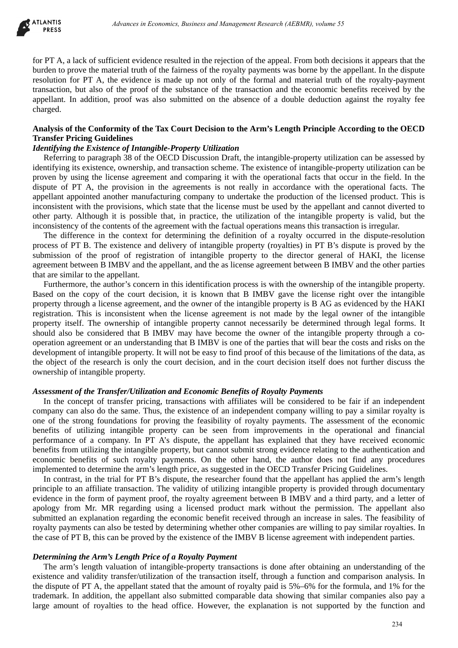

for PT A, a lack of sufficient evidence resulted in the rejection of the appeal. From both decisions it appears that the burden to prove the material truth of the fairness of the royalty payments was borne by the appellant. In the dispute resolution for PT A, the evidence is made up not only of the formal and material truth of the royalty-payment transaction, but also of the proof of the substance of the transaction and the economic benefits received by the appellant. In addition, proof was also submitted on the absence of a double deduction against the royalty fee charged.

## **Analysis of the Conformity of the Tax Court Decision to the Arm's Length Principle According to the OECD Transfer Pricing Guidelines**

## *Identifying the Existence of Intangible-Property Utilization*

Referring to paragraph 38 of the OECD Discussion Draft, the intangible-property utilization can be assessed by identifying its existence, ownership, and transaction scheme. The existence of intangible-property utilization can be proven by using the license agreement and comparing it with the operational facts that occur in the field. In the dispute of PT A, the provision in the agreements is not really in accordance with the operational facts. The appellant appointed another manufacturing company to undertake the production of the licensed product. This is inconsistent with the provisions, which state that the license must be used by the appellant and cannot diverted to other party. Although it is possible that, in practice, the utilization of the intangible property is valid, but the inconsistency of the contents of the agreement with the factual operations means this transaction is irregular.

The difference in the context for determining the definition of a royalty occurred in the dispute-resolution process of PT B. The existence and delivery of intangible property (royalties) in PT B's dispute is proved by the submission of the proof of registration of intangible property to the director general of HAKI, the license agreement between B IMBV and the appellant, and the as license agreement between B IMBV and the other parties that are similar to the appellant.

Furthermore, the author's concern in this identification process is with the ownership of the intangible property. Based on the copy of the court decision, it is known that B IMBV gave the license right over the intangible property through a license agreement, and the owner of the intangible property is B AG as evidenced by the HAKI registration. This is inconsistent when the license agreement is not made by the legal owner of the intangible property itself. The ownership of intangible property cannot necessarily be determined through legal forms. It should also be considered that B IMBV may have become the owner of the intangible property through a cooperation agreement or an understanding that B IMBV is one of the parties that will bear the costs and risks on the development of intangible property. It will not be easy to find proof of this because of the limitations of the data, as the object of the research is only the court decision, and in the court decision itself does not further discuss the ownership of intangible property. debiases in Economics, Business and Management Research (AEBMR), volume 53<br>
Lietat evidence resulted in the reprection of the appeal. From both decisions it appears in the contributed cutto for the internet of the formula

#### *Assessment of the Transfer/Utilization and Economic Benefits of Royalty Payments*

In the concept of transfer pricing, transactions with affiliates will be considered to be fair if an independent company can also do the same. Thus, the existence of an independent company willing to pay a similar royalty is one of the strong foundations for proving the feasibility of royalty payments. The assessment of the economic benefits of utilizing intangible property can be seen from improvements in the operational and financial performance of a company. In PT A's dispute, the appellant has explained that they have received economic benefits from utilizing the intangible property, but cannot submit strong evidence relating to the authentication and economic benefits of such royalty payments. On the other hand, the author does not find any procedures implemented to determine the arm's length price, as suggested in the OECD Transfer Pricing Guidelines.

In contrast, in the trial for PT B's dispute, the researcher found that the appellant has applied the arm's length principle to an affiliate transaction. The validity of utilizing intangible property is provided through documentary evidence in the form of payment proof, the royalty agreement between B IMBV and a third party, and a letter of apology from Mr. MR regarding using a licensed product mark without the permission. The appellant also submitted an explanation regarding the economic benefit received through an increase in sales. The feasibility of royalty payments can also be tested by determining whether other companies are willing to pay similar royalties. In the case of PT B, this can be proved by the existence of the IMBV B license agreement with independent parties.

#### *Determining the Arm's Length Price of a Royalty Payment*

The arm's length valuation of intangible-property transactions is done after obtaining an understanding of the existence and validity transfer/utilization of the transaction itself, through a function and comparison analysis. In the dispute of PT A, the appellant stated that the amount of royalty paid is 5%–6% for the formula, and 1% for the trademark. In addition, the appellant also submitted comparable data showing that similar companies also pay a large amount of royalties to the head office. However, the explanation is not supported by the function and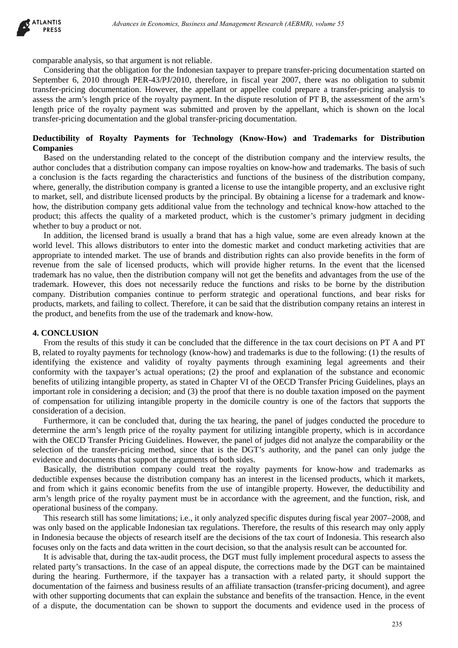

comparable analysis, so that argument is not reliable.

Considering that the obligation for the Indonesian taxpayer to prepare transfer-pricing documentation started on September 6, 2010 through PER-43/PJ/2010, therefore, in fiscal year 2007, there was no obligation to submit transfer-pricing documentation. However, the appellant or appellee could prepare a transfer-pricing analysis to assess the arm's length price of the royalty payment. In the dispute resolution of PT B, the assessment of the arm's length price of the royalty payment was submitted and proven by the appellant, which is shown on the local transfer-pricing documentation and the global transfer-pricing documentation.

## **Deductibility of Royalty Payments for Technology (Know-How) and Trademarks for Distribution Companies**

Based on the understanding related to the concept of the distribution company and the interview results, the author concludes that a distribution company can impose royalties on know-how and trademarks. The basis of such a conclusion is the facts regarding the characteristics and functions of the business of the distribution company, where, generally, the distribution company is granted a license to use the intangible property, and an exclusive right to market, sell, and distribute licensed products by the principal. By obtaining a license for a trademark and knowhow, the distribution company gets additional value from the technology and technical know-how attached to the product; this affects the quality of a marketed product, which is the customer's primary judgment in deciding whether to buy a product or not.

In addition, the licensed brand is usually a brand that has a high value, some are even already known at the world level. This allows distributors to enter into the domestic market and conduct marketing activities that are appropriate to intended market. The use of brands and distribution rights can also provide benefits in the form of revenue from the sale of licensed products, which will provide higher returns. In the event that the licensed trademark has no value, then the distribution company will not get the benefits and advantages from the use of the trademark. However, this does not necessarily reduce the functions and risks to be borne by the distribution company. Distribution companies continue to perform strategic and operational functions, and bear risks for products, markets, and failing to collect. Therefore, it can be said that the distribution company retains an interest in the product, and benefits from the use of the trademark and know-how. debiases in Economics Besieres and Management Research (AEBMR), volume 53<br>
that argument is not relabled.<br>
that argument is not relabled.<br>
colugation for the Indebiases and Management Research (AEBMR), volume 55<br>
colugatio

## **4. CONCLUSION**

From the results of this study it can be concluded that the difference in the tax court decisions on PT A and PT B, related to royalty payments for technology (know-how) and trademarks is due to the following: (1) the results of identifying the existence and validity of royalty payments through examining legal agreements and their conformity with the taxpayer's actual operations; (2) the proof and explanation of the substance and economic benefits of utilizing intangible property, as stated in Chapter VI of the OECD Transfer Pricing Guidelines, plays an important role in considering a decision; and (3) the proof that there is no double taxation imposed on the payment of compensation for utilizing intangible property in the domicile country is one of the factors that supports the consideration of a decision.

Furthermore, it can be concluded that, during the tax hearing, the panel of judges conducted the procedure to determine the arm's length price of the royalty payment for utilizing intangible property, which is in accordance with the OECD Transfer Pricing Guidelines. However, the panel of judges did not analyze the comparability or the selection of the transfer-pricing method, since that is the DGT's authority, and the panel can only judge the evidence and documents that support the arguments of both sides.

Basically, the distribution company could treat the royalty payments for know-how and trademarks as deductible expenses because the distribution company has an interest in the licensed products, which it markets, and from which it gains economic benefits from the use of intangible property. However, the deductibility and arm's length price of the royalty payment must be in accordance with the agreement, and the function, risk, and operational business of the company.

This research still has some limitations; i.e., it only analyzed specific disputes during fiscal year 2007–2008, and was only based on the applicable Indonesian tax regulations. Therefore, the results of this research may only apply in Indonesia because the objects of research itself are the decisions of the tax court of Indonesia. This research also focuses only on the facts and data written in the court decision, so that the analysis result can be accounted for.

It is advisable that, during the tax-audit process, the DGT must fully implement procedural aspects to assess the related party's transactions. In the case of an appeal dispute, the corrections made by the DGT can be maintained during the hearing. Furthermore, if the taxpayer has a transaction with a related party, it should support the documentation of the fairness and business results of an affiliate transaction (transfer-pricing document), and agree with other supporting documents that can explain the substance and benefits of the transaction. Hence, in the event of a dispute, the documentation can be shown to support the documents and evidence used in the process of